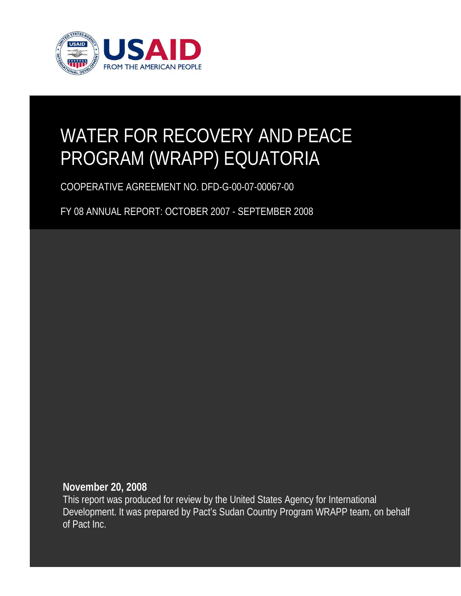

# WATER FOR RECOVERY AND PEACE PROGRAM (WRAPP) EQUATORIA

COOPERATIVE AGREEMENT NO. DFD-G-00-07-00067-00

FY 08 ANNUAL REPORT: OCTOBER 2007 - SEPTEMBER 2008

**November 20, 2008** 

This report was produced for review by the United States Agency for International Development. It was prepared by Pact's Sudan Country Program WRAPP team, on behalf of Pact Inc.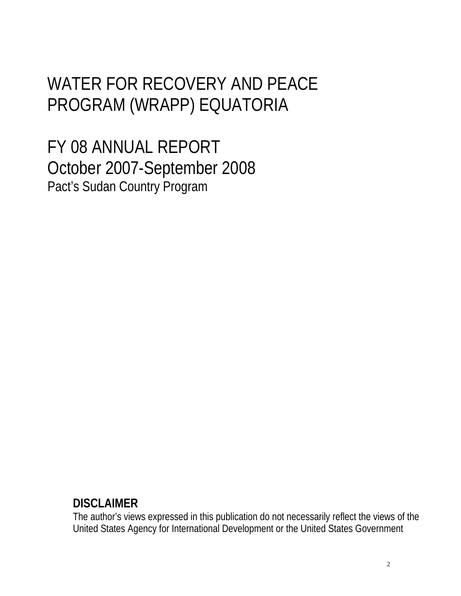## WATER FOR RECOVERY AND PEACE PROGRAM (WRAPP) EQUATORIA

FY 08 ANNUAL REPORT October 2007-September 2008 Pact's Sudan Country Program

### **DISCLAIMER**

The author's views expressed in this publication do not necessarily reflect the views of the United States Agency for International Development or the United States Government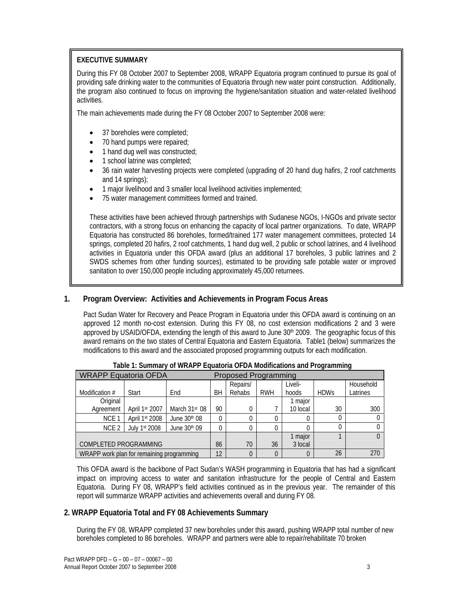#### **EXECUTIVE SUMMARY**

During this FY 08 October 2007 to September 2008, WRAPP Equatoria program continued to pursue its goal of providing safe drinking water to the communities of Equatoria through new water point construction. Additionally, the program also continued to focus on improving the hygiene/sanitation situation and water-related livelihood activities.

The main achievements made during the FY 08 October 2007 to September 2008 were:

- 37 boreholes were completed;
- 70 hand pumps were repaired;
- 1 hand dug well was constructed;
- 1 school latrine was completed;
- 36 rain water harvesting projects were completed (upgrading of 20 hand dug hafirs, 2 roof catchments and 14 springs);
- 1 major livelihood and 3 smaller local livelihood activities implemented;
- 75 water management committees formed and trained.

These activities have been achieved through partnerships with Sudanese NGOs, I-NGOs and private sector contractors, with a strong focus on enhancing the capacity of local partner organizations. To date, WRAPP Equatoria has constructed 86 boreholes, formed/trained 177 water management committees, protected 14 springs, completed 20 hafirs, 2 roof catchments, 1 hand dug well, 2 public or school latrines, and 4 livelihood activities in Equatoria under this OFDA award (plus an additional 17 boreholes, 3 public latrines and 2 SWDS schemes from other funding sources), estimated to be providing safe potable water or improved sanitation to over 150,000 people including approximately 45,000 returnees.

#### **1. Program Overview: Activities and Achievements in Program Focus Areas**

Pact Sudan Water for Recovery and Peace Program in Equatoria under this OFDA award is continuing on an approved 12 month no-cost extension. During this FY 08, no cost extension modifications 2 and 3 were approved by USAID/OFDA, extending the length of this award to June 30<sup>th</sup> 2009. The geographic focus of this award remains on the two states of Central Equatoria and Eastern Equatoria. Table1 (below) summarizes the modifications to this award and the associated proposed programming outputs for each modification.

| <b>WRAPP Equatoria OFDA</b>               |                |                           | <b>Proposed Programming</b> |          |            |          |             |           |
|-------------------------------------------|----------------|---------------------------|-----------------------------|----------|------------|----------|-------------|-----------|
|                                           |                |                           |                             | Repairs/ |            | Liveli-  |             | Household |
| Modification #                            | Start          | End                       | ВH                          | Rehabs   | <b>RWH</b> | hoods    | <b>HDWs</b> | Latrines  |
| Original                                  |                |                           |                             |          |            | 1 major  |             |           |
| Agreement                                 | April 1st 2007 | March 31 <sup>st</sup> 08 | 90                          | 0        |            | 10 local | 30          | 300       |
| NCE <sub>1</sub>                          | April 1st 2008 | June $30th 08$            |                             | $\Omega$ |            | 0        |             |           |
| NCE <sub>2</sub>                          | July 1st 2008  | June 30th 09              |                             | $\Omega$ |            |          |             |           |
|                                           |                |                           |                             |          | 1 major    |          |             |           |
| COMPLETED PROGRAMMING                     |                |                           | 86                          | 70       | 36         | 3 local  |             |           |
| WRAPP work plan for remaining programming |                |                           | 12                          | $\Omega$ |            |          | 26          | 270       |

 **Table 1: Summary of WRAPP Equatoria OFDA Modifications and Programming** 

This OFDA award is the backbone of Pact Sudan's WASH programming in Equatoria that has had a significant impact on improving access to water and sanitation infrastructure for the people of Central and Eastern Equatoria. During FY 08, WRAPP's field activities continued as in the previous year. The remainder of this report will summarize WRAPP activities and achievements overall and during FY 08.

#### **2. WRAPP Equatoria Total and FY 08 Achievements Summary**

During the FY 08, WRAPP completed 37 new boreholes under this award, pushing WRAPP total number of new boreholes completed to 86 boreholes. WRAPP and partners were able to repair/rehabilitate 70 broken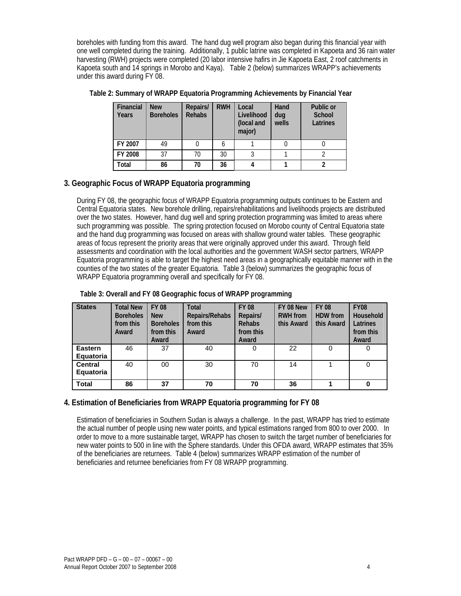boreholes with funding from this award. The hand dug well program also began during this financial year with one well completed during the training. Additionally, 1 public latrine was completed in Kapoeta and 36 rain water harvesting (RWH) projects were completed (20 labor intensive hafirs in Jie Kapoeta East, 2 roof catchments in Kapoeta south and 14 springs in Morobo and Kaya). Table 2 (below) summarizes WRAPP's achievements under this award during FY 08.

| <b>Financial</b><br>Years | <b>New</b><br><b>Boreholes</b> | Repairs/<br><b>Rehabs</b> | <b>RWH</b> | Local<br>Livelihood<br>(local and<br>major) | Hand<br>dug<br>wells | Public or<br>School<br>Latrines |
|---------------------------|--------------------------------|---------------------------|------------|---------------------------------------------|----------------------|---------------------------------|
| FY 2007                   | 49                             |                           | b          |                                             |                      |                                 |
| FY 2008                   | 37                             | 70                        | 30         |                                             |                      |                                 |
| Total                     | 86                             | 70                        | 36         |                                             |                      |                                 |

**Table 2: Summary of WRAPP Equatoria Programming Achievements by Financial Year**

#### **3. Geographic Focus of WRAPP Equatoria programming**

During FY 08, the geographic focus of WRAPP Equatoria programming outputs continues to be Eastern and Central Equatoria states. New borehole drilling, repairs/rehabilitations and livelihoods projects are distributed over the two states. However, hand dug well and spring protection programming was limited to areas where such programming was possible. The spring protection focused on Morobo county of Central Equatoria state and the hand dug programming was focused on areas with shallow ground water tables. These geographic areas of focus represent the priority areas that were originally approved under this award. Through field assessments and coordination with the local authorities and the government WASH sector partners, WRAPP Equatoria programming is able to target the highest need areas in a geographically equitable manner with in the counties of the two states of the greater Equatoria. Table 3 (below) summarizes the geographic focus of WRAPP Equatoria programming overall and specifically for FY 08.

|  |  | Table 3: Overall and FY 08 Geographic focus of WRAPP programming |
|--|--|------------------------------------------------------------------|
|  |  |                                                                  |

| <b>States</b>               | <b>Total New</b><br><b>Boreholes</b><br>from this<br>Award | <b>FY 08</b><br><b>New</b><br><b>Boreholes</b><br>from this<br>Award | Total<br>Repairs/Rehabs<br>from this<br>Award | <b>FY 08</b><br>Repairs/<br><b>Rehabs</b><br>from this<br>Award | FY 08 New<br><b>RWH</b> from<br>this Award | <b>FY 08</b><br><b>HDW</b> from<br>this Award | <b>FY08</b><br><b>Household</b><br>Latrines<br>from this<br>Award |
|-----------------------------|------------------------------------------------------------|----------------------------------------------------------------------|-----------------------------------------------|-----------------------------------------------------------------|--------------------------------------------|-----------------------------------------------|-------------------------------------------------------------------|
| <b>Eastern</b><br>Equatoria | 46                                                         | 37                                                                   | 40                                            |                                                                 | 22                                         | 0                                             | 0                                                                 |
| <b>Central</b><br>Equatoria | 40                                                         | 00                                                                   | 30                                            | 70                                                              | 14                                         |                                               | 0                                                                 |
| <b>Total</b>                | 86                                                         | 37                                                                   | 70                                            | 70                                                              | 36                                         |                                               | 0                                                                 |

#### **4. Estimation of Beneficiaries from WRAPP Equatoria programming for FY 08**

Estimation of beneficiaries in Southern Sudan is always a challenge. In the past, WRAPP has tried to estimate the actual number of people using new water points, and typical estimations ranged from 800 to over 2000. In order to move to a more sustainable target, WRAPP has chosen to switch the target number of beneficiaries for new water points to 500 in line with the Sphere standards. Under this OFDA award, WRAPP estimates that 35% of the beneficiaries are returnees. Table 4 (below) summarizes WRAPP estimation of the number of beneficiaries and returnee beneficiaries from FY 08 WRAPP programming.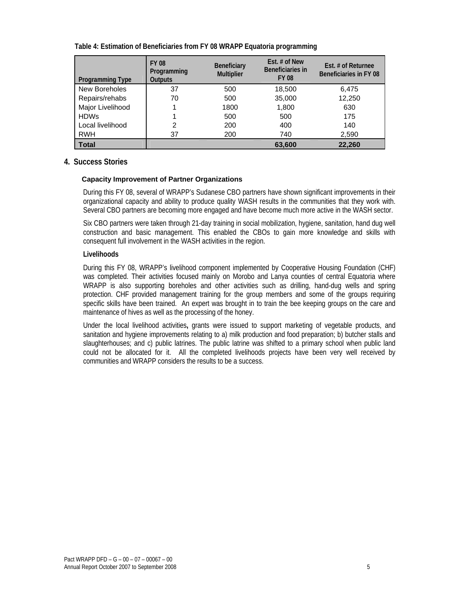| Table 4: Estimation of Beneficiaries from FY 08 WRAPP Equatoria programming |  |
|-----------------------------------------------------------------------------|--|
|                                                                             |  |

| <b>Programming Type</b> | <b>FY 08</b><br>Programming<br><b>Outputs</b> | <b>Beneficiary</b><br><b>Multiplier</b> | Est. $#$ of New<br>Beneficiaries in<br><b>FY 08</b> | Est. # of Returnee<br>Beneficiaries in FY 08 |
|-------------------------|-----------------------------------------------|-----------------------------------------|-----------------------------------------------------|----------------------------------------------|
| New Boreholes           | 37                                            | 500                                     | 18,500                                              | 6,475                                        |
| Repairs/rehabs          | 70                                            | 500                                     | 35,000                                              | 12,250                                       |
| Major Livelihood        |                                               | 1800                                    | 1,800                                               | 630                                          |
| <b>HDWs</b>             |                                               | 500                                     | 500                                                 | 175                                          |
| Local livelihood        | 2                                             | 200                                     | 400                                                 | 140                                          |
| <b>RWH</b>              | 37                                            | 200                                     | 740                                                 | 2,590                                        |
| <b>Total</b>            |                                               |                                         | 63,600                                              | 22,260                                       |

#### **4. Success Stories**

#### **Capacity Improvement of Partner Organizations**

During this FY 08, several of WRAPP's Sudanese CBO partners have shown significant improvements in their organizational capacity and ability to produce quality WASH results in the communities that they work with. Several CBO partners are becoming more engaged and have become much more active in the WASH sector.

Six CBO partners were taken through 21-day training in social mobilization, hygiene, sanitation, hand dug well construction and basic management. This enabled the CBOs to gain more knowledge and skills with consequent full involvement in the WASH activities in the region.

#### **Livelihoods**

During this FY 08, WRAPP's livelihood component implemented by Cooperative Housing Foundation (CHF) was completed. Their activities focused mainly on Morobo and Lanya counties of central Equatoria where WRAPP is also supporting boreholes and other activities such as drilling, hand-dug wells and spring protection. CHF provided management training for the group members and some of the groups requiring specific skills have been trained. An expert was brought in to train the bee keeping groups on the care and maintenance of hives as well as the processing of the honey.

Under the local livelihood activities**,** grants were issued to support marketing of vegetable products, and sanitation and hygiene improvements relating to a) milk production and food preparation; b) butcher stalls and slaughterhouses; and c) public latrines. The public latrine was shifted to a primary school when public land could not be allocated for it. All the completed livelihoods projects have been very well received by communities and WRAPP considers the results to be a success.